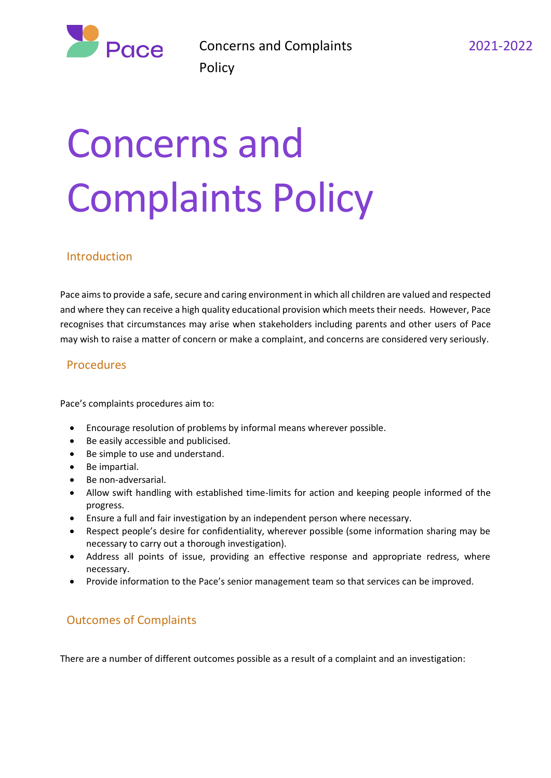

# Concerns and Complaints Policy

## Introduction

Pace aims to provide a safe, secure and caring environment in which all children are valued and respected and where they can receive a high quality educational provision which meets their needs. However, Pace recognises that circumstances may arise when stakeholders including parents and other users of Pace may wish to raise a matter of concern or make a complaint, and concerns are considered very seriously.

## Procedures

Pace's complaints procedures aim to:

- Encourage resolution of problems by informal means wherever possible.
- Be easily accessible and publicised.
- Be simple to use and understand.
- Be impartial.
- Be non-adversarial.
- Allow swift handling with established time-limits for action and keeping people informed of the progress.
- Ensure a full and fair investigation by an independent person where necessary.
- Respect people's desire for confidentiality, wherever possible (some information sharing may be necessary to carry out a thorough investigation).
- Address all points of issue, providing an effective response and appropriate redress, where necessary.
- Provide information to the Pace's senior management team so that services can be improved.

# Outcomes of Complaints

There are a number of different outcomes possible as a result of a complaint and an investigation: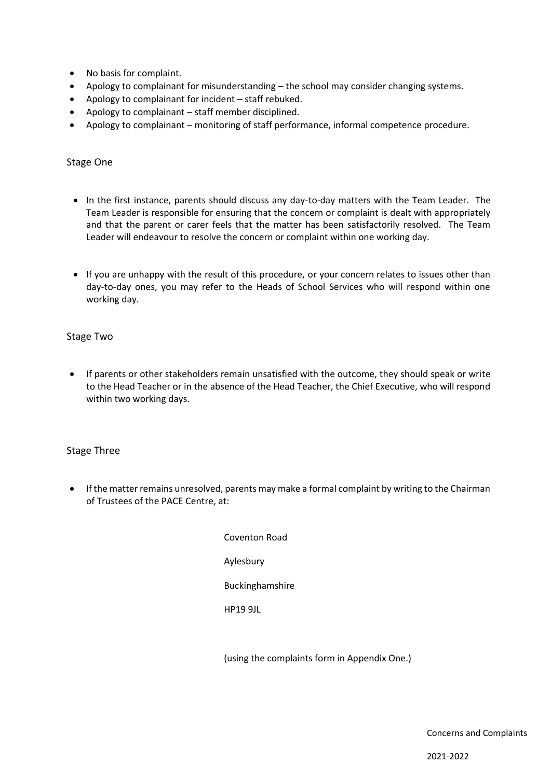- No basis for complaint.
- Apology to complainant for misunderstanding the school may consider changing systems.
- Apology to complainant for incident staff rebuked.
- Apology to complainant staff member disciplined.
- Apology to complainant monitoring of staff performance, informal competence procedure.

#### Stage One

- In the first instance, parents should discuss any day-to-day matters with the Team Leader. The Team Leader is responsible for ensuring that the concern or complaint is dealt with appropriately and that the parent or carer feels that the matter has been satisfactorily resolved. The Team Leader will endeavour to resolve the concern or complaint within one working day.
- If you are unhappy with the result of this procedure, or your concern relates to issues other than day-to-day ones, you may refer to the Heads of School Services who will respond within one working day.

#### Stage Two

• If parents or other stakeholders remain unsatisfied with the outcome, they should speak or write to the Head Teacher or in the absence of the Head Teacher, the Chief Executive, who will respond within two working days.

#### Stage Three

• If the matter remains unresolved, parents may make a formal complaint by writing to the Chairman of Trustees of the PACE Centre, at:

> Coventon Road Aylesbury Buckinghamshire HP19 9JL

(using the complaints form in Appendix One.)

Concerns and Complaints

2021-2022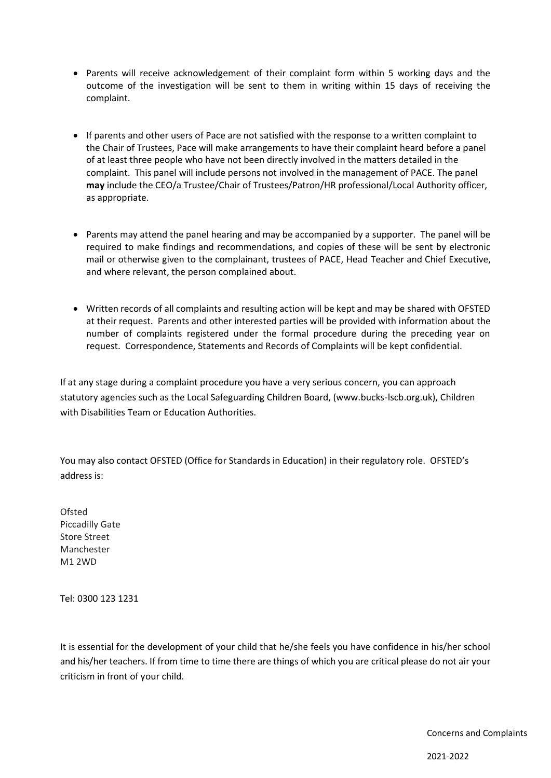- Parents will receive acknowledgement of their complaint form within 5 working days and the outcome of the investigation will be sent to them in writing within 15 days of receiving the complaint.
- If parents and other users of Pace are not satisfied with the response to a written complaint to the Chair of Trustees, Pace will make arrangements to have their complaint heard before a panel of at least three people who have not been directly involved in the matters detailed in the complaint. This panel will include persons not involved in the management of PACE. The panel **may** include the CEO/a Trustee/Chair of Trustees/Patron/HR professional/Local Authority officer, as appropriate.
- Parents may attend the panel hearing and may be accompanied by a supporter. The panel will be required to make findings and recommendations, and copies of these will be sent by electronic mail or otherwise given to the complainant, trustees of PACE, Head Teacher and Chief Executive, and where relevant, the person complained about.
- Written records of all complaints and resulting action will be kept and may be shared with OFSTED at their request. Parents and other interested parties will be provided with information about the number of complaints registered under the formal procedure during the preceding year on request. Correspondence, Statements and Records of Complaints will be kept confidential.

If at any stage during a complaint procedure you have a very serious concern, you can approach statutory agencies such as the Local Safeguarding Children Board, (www.bucks-lscb.org.uk), Children with Disabilities Team or Education Authorities.

You may also contact OFSTED (Office for Standards in Education) in their regulatory role. OFSTED's address is:

Ofsted Piccadilly Gate Store Street Manchester M1 2WD

Tel: 0300 123 1231

It is essential for the development of your child that he/she feels you have confidence in his/her school and his/her teachers. If from time to time there are things of which you are critical please do not air your criticism in front of your child.

Concerns and Complaints

2021-2022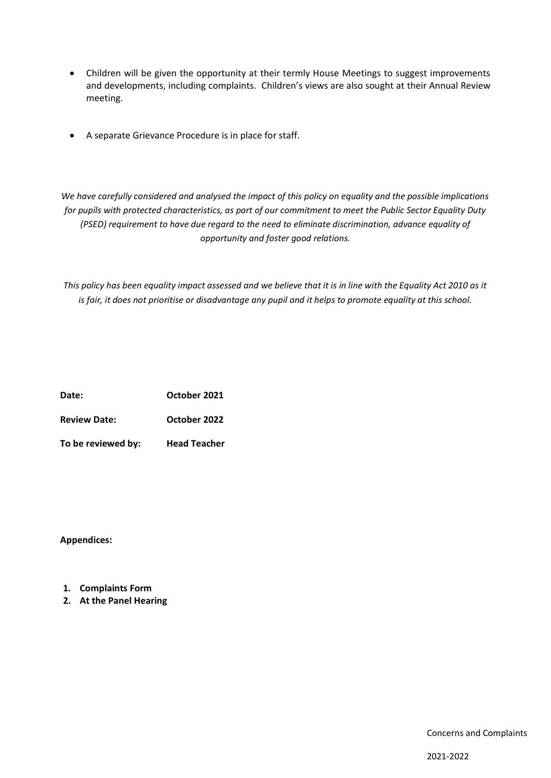- Children will be given the opportunity at their termly House Meetings to suggest improvements and developments, including complaints. Children's views are also sought at their Annual Review meeting.
- A separate Grievance Procedure is in place for staff.

*We have carefully considered and analysed the impact of this policy on equality and the possible implications for pupils with protected characteristics, as part of our commitment to meet the Public Sector Equality Duty (PSED) requirement to have due regard to the need to eliminate discrimination, advance equality of opportunity and foster good relations.* 

*This policy has been equality impact assessed and we believe that it is in line with the Equality Act 2010 as it is fair, it does not prioritise or disadvantage any pupil and it helps to promote equality at this school.*

| Date:               | October 2021        |
|---------------------|---------------------|
| <b>Review Date:</b> | October 2022        |
| To be reviewed by:  | <b>Head Teacher</b> |

**Appendices:**

- **1. Complaints Form**
- **2. At the Panel Hearing**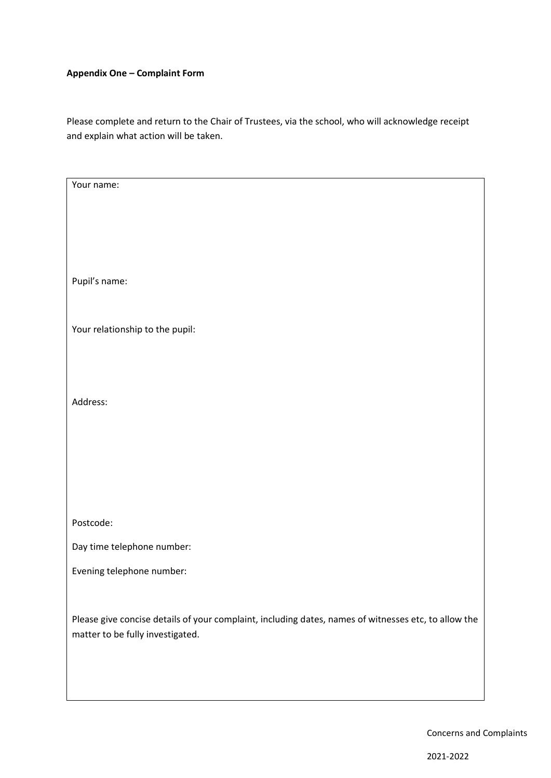#### **Appendix One – Complaint Form**

Please complete and return to the Chair of Trustees, via the school, who will acknowledge receipt and explain what action will be taken.

| Your name:                                                                                           |  |  |
|------------------------------------------------------------------------------------------------------|--|--|
|                                                                                                      |  |  |
|                                                                                                      |  |  |
|                                                                                                      |  |  |
|                                                                                                      |  |  |
|                                                                                                      |  |  |
| Pupil's name:                                                                                        |  |  |
|                                                                                                      |  |  |
|                                                                                                      |  |  |
| Your relationship to the pupil:                                                                      |  |  |
|                                                                                                      |  |  |
|                                                                                                      |  |  |
|                                                                                                      |  |  |
| Address:                                                                                             |  |  |
|                                                                                                      |  |  |
|                                                                                                      |  |  |
|                                                                                                      |  |  |
|                                                                                                      |  |  |
|                                                                                                      |  |  |
|                                                                                                      |  |  |
| Postcode:                                                                                            |  |  |
| Day time telephone number:                                                                           |  |  |
| Evening telephone number:                                                                            |  |  |
|                                                                                                      |  |  |
|                                                                                                      |  |  |
| Please give concise details of your complaint, including dates, names of witnesses etc, to allow the |  |  |
| matter to be fully investigated.                                                                     |  |  |
|                                                                                                      |  |  |
|                                                                                                      |  |  |
|                                                                                                      |  |  |
|                                                                                                      |  |  |

Concerns and Complaints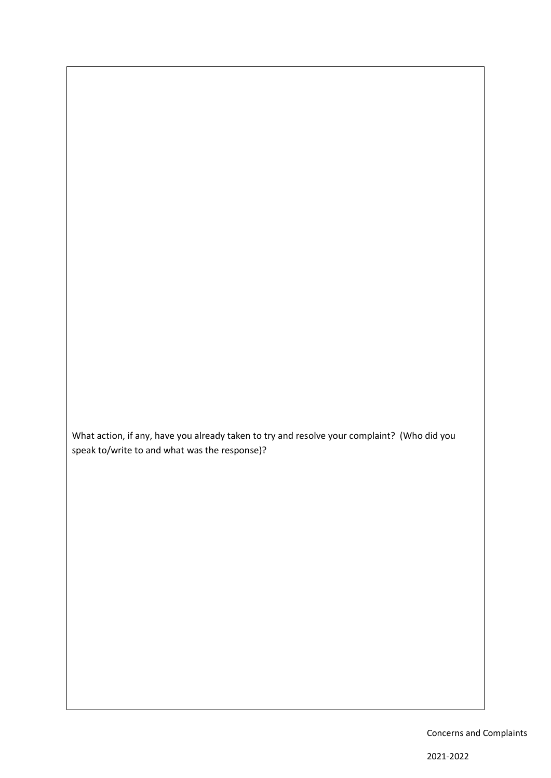What action, if any, have you already taken to try and resolve your complaint? (Who did you speak to/write to and what was the response)?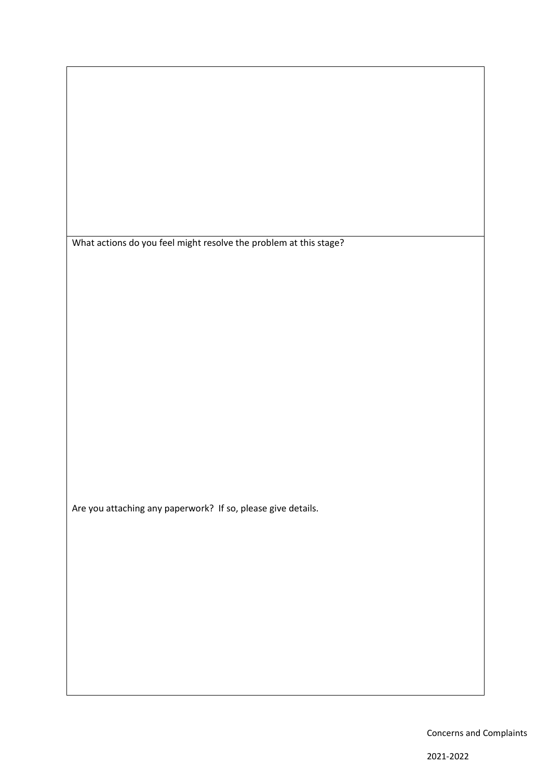What actions do you feel might resolve the problem at this stage?

Are you attaching any paperwork? If so, please give details.

Concerns and Complaints

2021-2022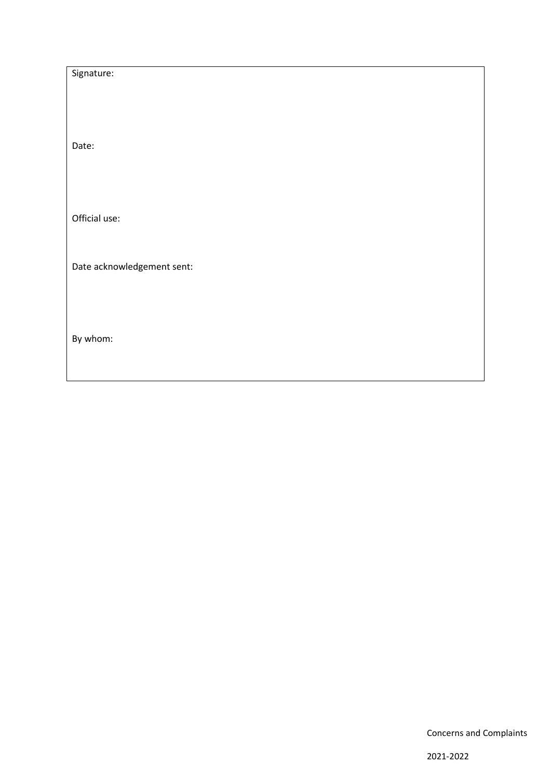| Signature:                 |  |
|----------------------------|--|
|                            |  |
|                            |  |
|                            |  |
| Date:                      |  |
|                            |  |
|                            |  |
| Official use:              |  |
|                            |  |
|                            |  |
| Date acknowledgement sent: |  |
|                            |  |
|                            |  |
|                            |  |
| By whom:                   |  |
|                            |  |